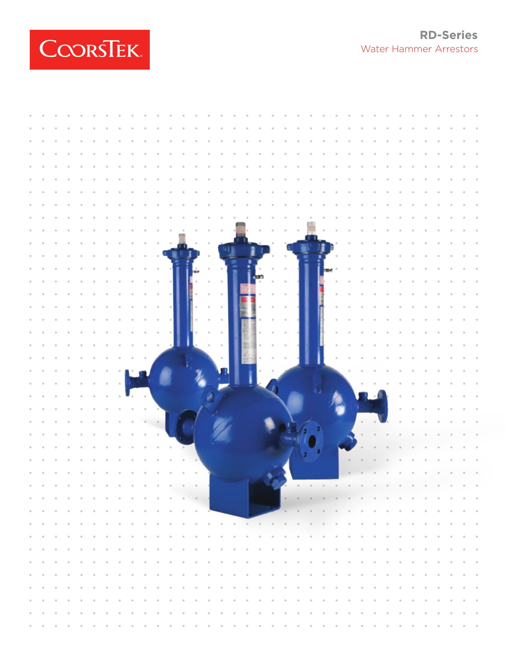